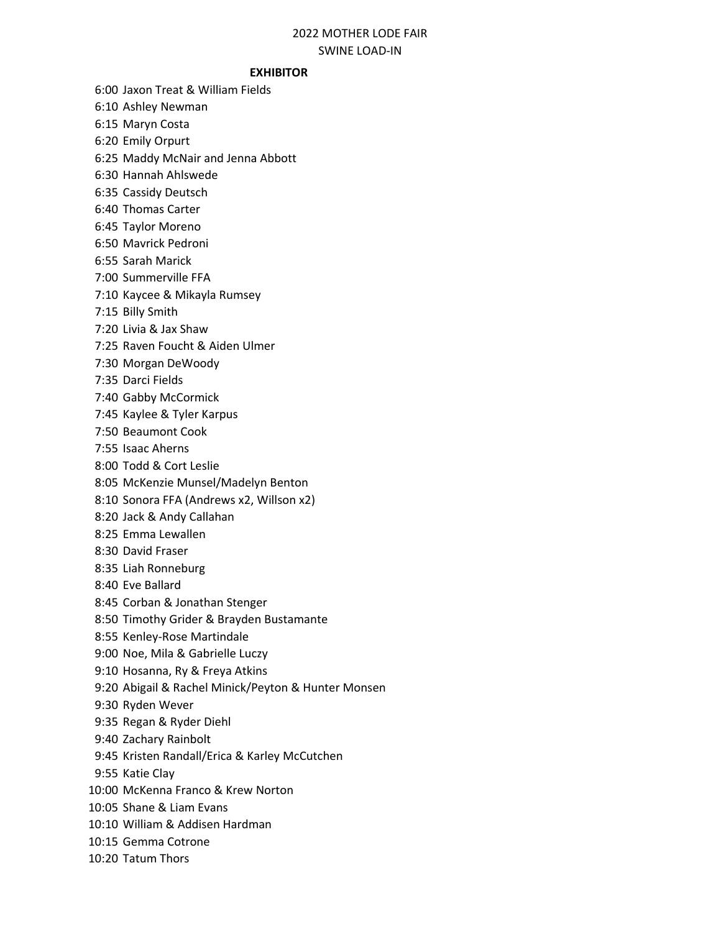## 2022 MOTHER LODE FAIR SWINE LOAD-IN

## EXHIBITOR

6:00 Jaxon Treat & William Fields

6:10 Ashley Newman

6:15 Maryn Costa

6:20 Emily Orpurt

6:25 Maddy McNair and Jenna Abbott

6:30 Hannah Ahlswede

6:35 Cassidy Deutsch

6:40 Thomas Carter

6:45 Taylor Moreno

6:50 Mavrick Pedroni

6:55 Sarah Marick

7:00 Summerville FFA

7:10 Kaycee & Mikayla Rumsey

7:15 Billy Smith

7:20 Livia & Jax Shaw

7:25 Raven Foucht & Aiden Ulmer

7:30 Morgan DeWoody

7:35 Darci Fields

7:40 Gabby McCormick

7:45 Kaylee & Tyler Karpus

7:50 Beaumont Cook

7:55 Isaac Aherns

8:00 Todd & Cort Leslie

8:05 McKenzie Munsel/Madelyn Benton

8:10 Sonora FFA (Andrews x2, Willson x2)

8:20 Jack & Andy Callahan

8:25 Emma Lewallen

8:30 David Fraser

8:35 Liah Ronneburg

8:40 Eve Ballard

8:45 Corban & Jonathan Stenger

8:50 Timothy Grider & Brayden Bustamante

8:55 Kenley-Rose Martindale

9:00 Noe, Mila & Gabrielle Luczy

9:10 Hosanna, Ry & Freya Atkins

9:20 Abigail & Rachel Minick/Peyton & Hunter Monsen

9:30 Ryden Wever

9:35 Regan & Ryder Diehl

9:40 Zachary Rainbolt

9:45 Kristen Randall/Erica & Karley McCutchen

9:55 Katie Clay

10:00 McKenna Franco & Krew Norton

10:05 Shane & Liam Evans

10:10 William & Addisen Hardman

10:15 Gemma Cotrone

10:20 Tatum Thors